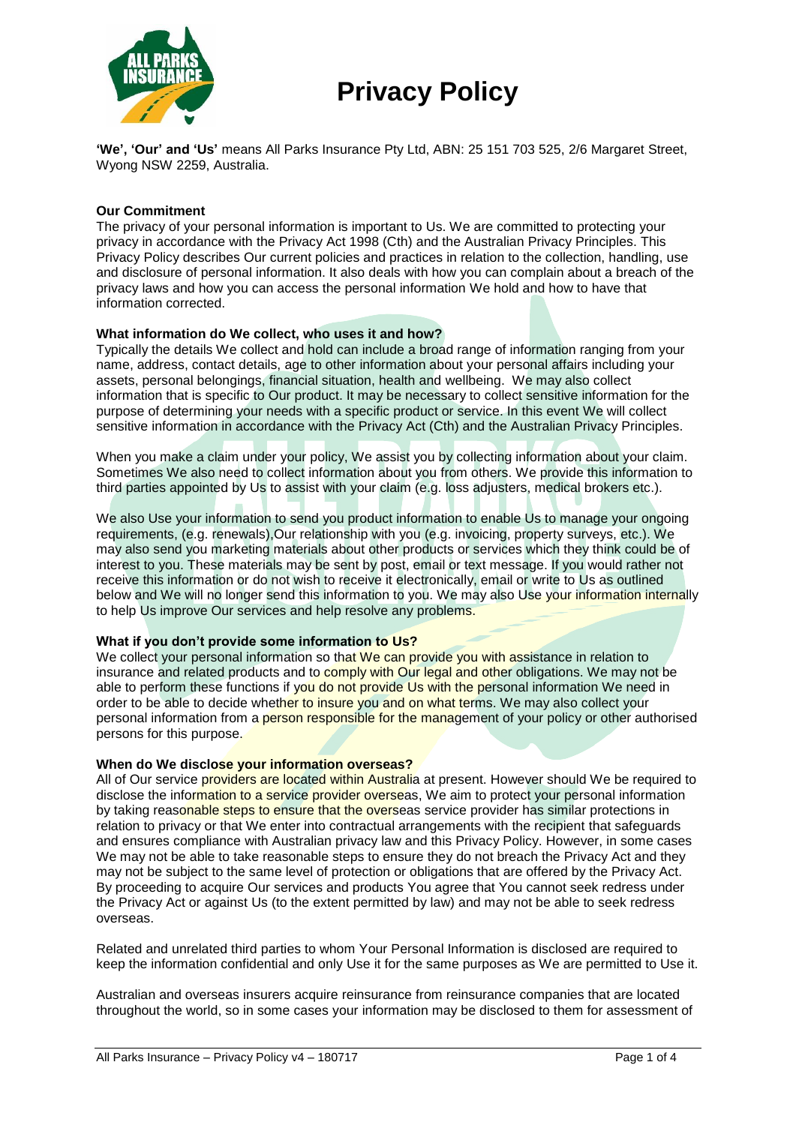

# **Privacy Policy**

**'We', 'Our' and 'Us'** means All Parks Insurance Pty Ltd, ABN: 25 151 703 525, 2/6 Margaret Street, Wyong NSW 2259, Australia.

## **Our Commitment**

The privacy of your personal information is important to Us. We are committed to protecting your privacy in accordance with the Privacy Act 1998 (Cth) and the Australian Privacy Principles. This Privacy Policy describes Our current policies and practices in relation to the collection, handling, use and disclosure of personal information. It also deals with how you can complain about a breach of the privacy laws and how you can access the personal information We hold and how to have that information corrected.

#### **What information do We collect, who uses it and how?**

Typically the details We collect and hold can include a broad range of information ranging from your name, address, contact details, age to other information about your personal affairs including your assets, personal belongings, financial situation, health and wellbeing. We may also collect information that is specific to Our product. It may be necessary to collect sensitive information for the purpose of determining your needs with a specific product or service. In this event We will collect sensitive information in accordance with the Privacy Act (Cth) and the Australian Privacy Principles.

When you make a claim under your policy, We assist you by collecting information about your claim. Sometimes We also need to collect information about you from others. We provide this information to third parties appointed by Us to assist with your claim (e.g. loss adjusters, medical brokers etc.).

We also Use your information to send you product information to enable Us to manage your ongoing requirements, (e.g. renewals),Our relationship with you (e.g. invoicing, property surveys, etc.). We may also send you marketing materials about other products or services which they think could be of interest to you. These materials may be sent by post, email or text message. If you would rather not receive this information or do not wish to receive it electronically, email or write to Us as outlined below and We will no longer send this information to you. We may also Use your information internally to help Us improve Our services and help resolve any problems.

#### **What if you don't provide some information to Us?**

We collect your personal information so that We can provide you with assistance in relation to insurance and related products and to comply with Our legal and other obligations. We may not be able to perform these functions if you do not provide Us with the personal information We need in order to be able to decide whether to insure you and on what terms. We may also collect your personal information from a person responsible for the management of your policy or other authorised persons for this purpose.

#### **When do We disclose your information overseas?**

All of Our service providers are located within Australia at present. However should We be required to disclose the information to a service provider overseas, We aim to protect your personal information by taking reasonable steps to ensure that the overseas service provider has similar protections in relation to privacy or that We enter into contractual arrangements with the recipient that safeguards and ensures compliance with Australian privacy law and this Privacy Policy. However, in some cases We may not be able to take reasonable steps to ensure they do not breach the Privacy Act and they may not be subject to the same level of protection or obligations that are offered by the Privacy Act. By proceeding to acquire Our services and products You agree that You cannot seek redress under the Privacy Act or against Us (to the extent permitted by law) and may not be able to seek redress overseas.

Related and unrelated third parties to whom Your Personal Information is disclosed are required to keep the information confidential and only Use it for the same purposes as We are permitted to Use it.

Australian and overseas insurers acquire reinsurance from reinsurance companies that are located throughout the world, so in some cases your information may be disclosed to them for assessment of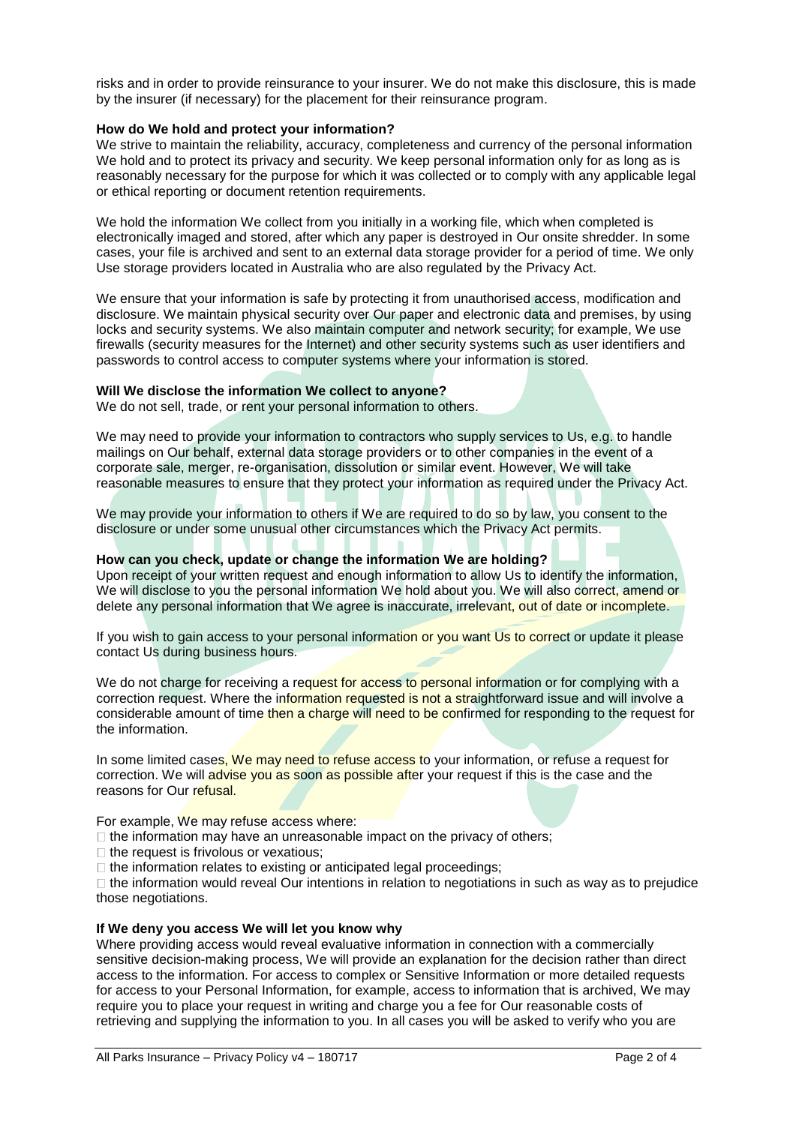risks and in order to provide reinsurance to your insurer. We do not make this disclosure, this is made by the insurer (if necessary) for the placement for their reinsurance program.

# **How do We hold and protect your information?**

We strive to maintain the reliability, accuracy, completeness and currency of the personal information We hold and to protect its privacy and security. We keep personal information only for as long as is reasonably necessary for the purpose for which it was collected or to comply with any applicable legal or ethical reporting or document retention requirements.

We hold the information We collect from you initially in a working file, which when completed is electronically imaged and stored, after which any paper is destroyed in Our onsite shredder. In some cases, your file is archived and sent to an external data storage provider for a period of time. We only Use storage providers located in Australia who are also regulated by the Privacy Act.

We ensure that your information is safe by protecting it from unauthorised access, modification and disclosure. We maintain physical security over Our paper and electronic data and premises, by using locks and security systems. We also maintain computer and network security; for example, We use firewalls (security measures for the Internet) and other security systems such as user identifiers and passwords to control access to computer systems where your information is stored.

# **Will We disclose the information We collect to anyone?**

We do not sell, trade, or rent your personal information to others.

We may need to provide your information to contractors who supply services to Us, e.g. to handle mailings on Our behalf, external data storage providers or to other companies in the event of a corporate sale, merger, re-organisation, dissolution or similar event. However, We will take reasonable measures to ensure that they protect your information as required under the Privacy Act.

We may provide your information to others if We are required to do so by law, you consent to the disclosure or under some unusual other circumstances which the Privacy Act permits.

### **How can you check, update or change the information We are holding?**

Upon receipt of your written request and enough information to allow Us to identify the information, We will disclose to you the personal information We hold about you. We will also correct, amend or delete any personal information that We agree is inaccurate, irrelevant, out of date or incomplete.

If you wish to gain access to your personal information or you want Us to correct or update it please contact Us during business hours.

We do not charge for receiving a request for access to personal information or for complying with a correction request. Where the information requested is not a straightforward issue and will involve a considerable amount of time then a charge will need to be confirmed for responding to the request for the information.

In some limited cases, We may need to refuse access to your information, or refuse a request for correction. We will advise you as soon as possible after your request if this is the case and the reasons for Our refusal.

For example, We may refuse access where:

 $\Box$  the information may have an unreasonable impact on the privacy of others;

 $\Box$  the request is frivolous or vexatious;

 $\Box$  the information relates to existing or anticipated legal proceedings;

 $\Box$  the information would reveal Our intentions in relation to negotiations in such as way as to prejudice those negotiations.

#### **If We deny you access We will let you know why**

Where providing access would reveal evaluative information in connection with a commercially sensitive decision-making process, We will provide an explanation for the decision rather than direct access to the information. For access to complex or Sensitive Information or more detailed requests for access to your Personal Information, for example, access to information that is archived, We may require you to place your request in writing and charge you a fee for Our reasonable costs of retrieving and supplying the information to you. In all cases you will be asked to verify who you are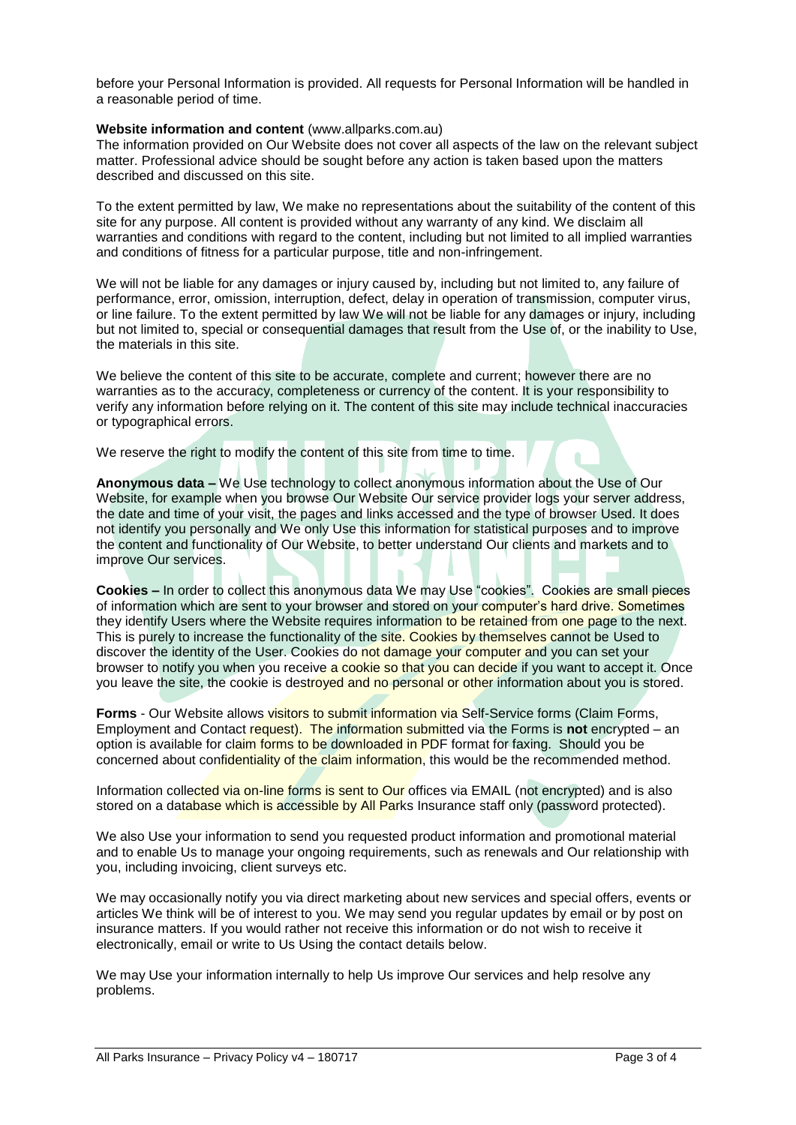before your Personal Information is provided. All requests for Personal Information will be handled in a reasonable period of time.

### **Website information and content** (www.allparks.com.au)

The information provided on Our Website does not cover all aspects of the law on the relevant subject matter. Professional advice should be sought before any action is taken based upon the matters described and discussed on this site.

To the extent permitted by law, We make no representations about the suitability of the content of this site for any purpose. All content is provided without any warranty of any kind. We disclaim all warranties and conditions with regard to the content, including but not limited to all implied warranties and conditions of fitness for a particular purpose, title and non-infringement.

We will not be liable for any damages or injury caused by, including but not limited to, any failure of performance, error, omission, interruption, defect, delay in operation of transmission, computer virus, or line failure. To the extent permitted by law We will not be liable for any damages or injury, including but not limited to, special or consequential damages that result from the Use of, or the inability to Use, the materials in this site.

We believe the content of this site to be accurate, complete and current; however there are no warranties as to the accuracy, completeness or currency of the content. It is your responsibility to verify any information before relying on it. The content of this site may include technical inaccuracies or typographical errors.

We reserve the right to modify the content of this site from time to time.

**Anonymous data –** We Use technology to collect anonymous information about the Use of Our Website, for example when you browse Our Website Our service provider logs your server address, the date and time of your visit, the pages and links accessed and the type of browser Used. It does not identify you personally and We only Use this information for statistical purposes and to improve the content and functionality of Our Website, to better understand Our clients and markets and to improve Our services.

**Cookies –** In order to collect this anonymous data We may Use "cookies". Cookies are small pieces of information which are sent to your browser and stored on your computer's hard drive. Sometimes they identify Users where the Website requires information to be retained from one page to the next. This is purely to increase the functionality of the site. Cookies by themselves cannot be Used to discover the identity of the User. Cookies do not damage your computer and you can set your browser to notify you when you receive a cookie so that you can decide if you want to accept it. Once you leave the site, the cookie is destroyed and no personal or other information about you is stored.

**Forms** - Our Website allows visitors to submit information via Self-Service forms (Claim Forms, Employment and Contact request). The information submitted via the Forms is **not** encrypted – an option is available for claim forms to be downloaded in PDF format for faxing. Should you be concerned about confidentiality of the claim information, this would be the recommended method.

Information collected via on-line forms is sent to Our offices via EMAIL (not encrypted) and is also stored on a database which is accessible by All Parks Insurance staff only (password protected).

We also Use your information to send you requested product information and promotional material and to enable Us to manage your ongoing requirements, such as renewals and Our relationship with you, including invoicing, client surveys etc.

We may occasionally notify you via direct marketing about new services and special offers, events or articles We think will be of interest to you. We may send you regular updates by email or by post on insurance matters. If you would rather not receive this information or do not wish to receive it electronically, email or write to Us Using the contact details below.

We may Use your information internally to help Us improve Our services and help resolve any problems.